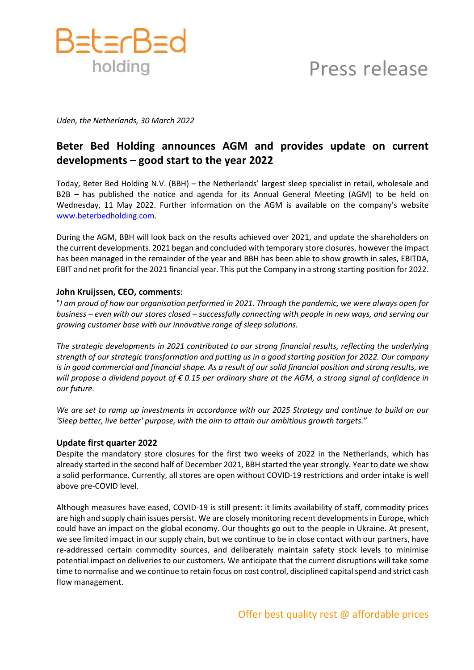

# Press release

*Uden, the Netherlands, 30 March 2022*

# **Beter Bed Holding announces AGM and provides update on current developments – good start to the year 2022**

Today, Beter Bed Holding N.V. (BBH) – the Netherlands' largest sleep specialist in retail, wholesale and B2B – has published the notice and agenda for its Annual General Meeting (AGM) to be held on Wednesday, 11 May 2022. Further information on the AGM is available on the company's website [www.beterbedholding.com.](http://www.beterbedholding.com/)

During the AGM, BBH will look back on the results achieved over 2021, and update the shareholders on the current developments. 2021 began and concluded with temporary store closures, however the impact has been managed in the remainder of the year and BBH has been able to show growth in sales, EBITDA, EBIT and net profit for the 2021 financial year. This put the Company in a strong starting position for 2022.

## **John Kruijssen, CEO, comments**:

"*I am proud of how our organisation performed in 2021. Through the pandemic, we were always open for business – even with our stores closed – successfully connecting with people in new ways, and serving our growing customer base with our innovative range of sleep solutions.* 

*The strategic developments in 2021 contributed to our strong financial results, reflecting the underlying strength of our strategic transformation and putting us in a good starting position for 2022. Our company is in good commercial and financial shape. As a result of our solid financial position and strong results, we will propose a dividend payout of € 0.15 per ordinary share at the AGM, a strong signal of confidence in our future.* 

*We are set to ramp up investments in accordance with our 2025 Strategy and continue to build on our 'Sleep better, live better' purpose, with the aim to attain our ambitious growth targets.*"

### **Update first quarter 2022**

Despite the mandatory store closures for the first two weeks of 2022 in the Netherlands, which has already started in the second half of December 2021, BBH started the year strongly. Year to date we show a solid performance. Currently, all stores are open without COVID-19 restrictions and order intake is well above pre-COVID level.

Although measures have eased, COVID-19 is still present: it limits availability of staff, commodity prices are high and supply chain issues persist. We are closely monitoring recent developments in Europe, which could have an impact on the global economy. Our thoughts go out to the people in Ukraine. At present, we see limited impact in our supply chain, but we continue to be in close contact with our partners, have re-addressed certain commodity sources, and deliberately maintain safety stock levels to minimise potential impact on deliveries to our customers. We anticipate that the current disruptions will take some time to normalise and we continue to retain focus on cost control, disciplined capital spend and strict cash flow management.